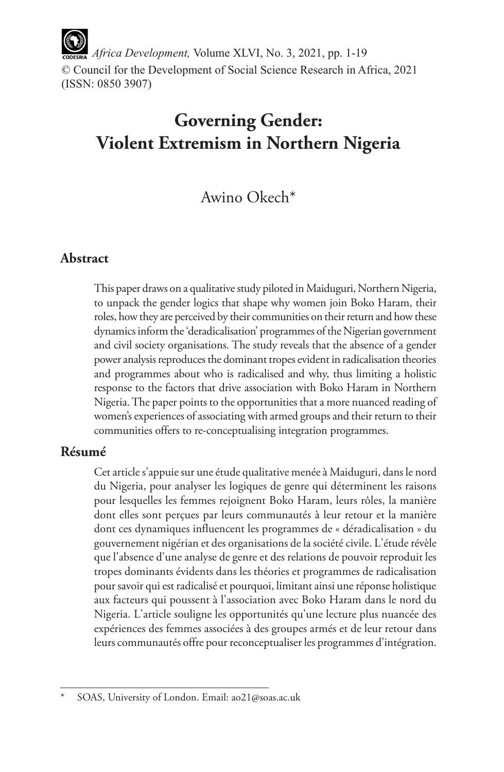*Africa Development,* Volume XLVI, No. 3, 2021, pp. 1-19 © Council for the Development of Social Science Research in Africa, 2021 (ISSN: 0850 3907)

# **Governing Gender: Violent Extremism in Northern Nigeria**

# Awino Okech\*

# **Abstract**

This paper draws on a qualitative study piloted in Maiduguri, Northern Nigeria, to unpack the gender logics that shape why women join Boko Haram, their roles, how they are perceived by their communities on their return and how these dynamics inform the 'deradicalisation' programmes of the Nigerian government and civil society organisations. The study reveals that the absence of a gender power analysis reproduces the dominant tropes evident in radicalisation theories and programmes about who is radicalised and why, thus limiting a holistic response to the factors that drive association with Boko Haram in Northern Nigeria. The paper points to the opportunities that a more nuanced reading of women's experiences of associating with armed groups and their return to their communities offers to re-conceptualising integration programmes.

### **Résumé**

Cet article s'appuie sur une étude qualitative menée à Maiduguri, dans le nord du Nigeria, pour analyser les logiques de genre qui déterminent les raisons pour lesquelles les femmes rejoignent Boko Haram, leurs rôles, la manière dont elles sont perçues par leurs communautés à leur retour et la manière dont ces dynamiques influencent les programmes de « déradicalisation » du gouvernement nigérian et des organisations de la société civile. L'étude révèle que l'absence d'une analyse de genre et des relations de pouvoir reproduit les tropes dominants évidents dans les théories et programmes de radicalisation pour savoir qui est radicalisé et pourquoi, limitant ainsi une réponse holistique aux facteurs qui poussent à l'association avec Boko Haram dans le nord du Nigeria. L'article souligne les opportunités qu'une lecture plus nuancée des expériences des femmes associées à des groupes armés et de leur retour dans leurs communautés offre pour reconceptualiser les programmes d'intégration.

SOAS, University of London. Email: ao21@soas.ac.uk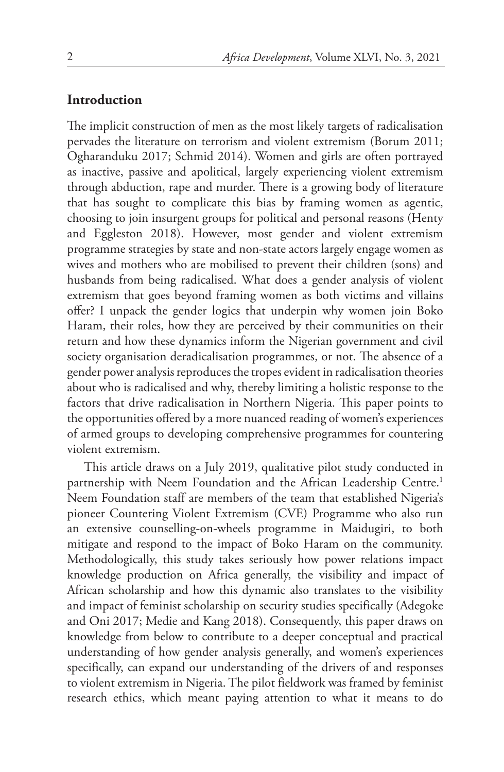#### **Introduction**

The implicit construction of men as the most likely targets of radicalisation pervades the literature on terrorism and violent extremism (Borum 2011; Ogharanduku 2017; Schmid 2014). Women and girls are often portrayed as inactive, passive and apolitical, largely experiencing violent extremism through abduction, rape and murder. There is a growing body of literature that has sought to complicate this bias by framing women as agentic, choosing to join insurgent groups for political and personal reasons (Henty and Eggleston 2018). However, most gender and violent extremism programme strategies by state and non-state actors largely engage women as wives and mothers who are mobilised to prevent their children (sons) and husbands from being radicalised. What does a gender analysis of violent extremism that goes beyond framing women as both victims and villains offer? I unpack the gender logics that underpin why women join Boko Haram, their roles, how they are perceived by their communities on their return and how these dynamics inform the Nigerian government and civil society organisation deradicalisation programmes, or not. The absence of a gender power analysis reproduces the tropes evident in radicalisation theories about who is radicalised and why, thereby limiting a holistic response to the factors that drive radicalisation in Northern Nigeria. This paper points to the opportunities offered by a more nuanced reading of women's experiences of armed groups to developing comprehensive programmes for countering violent extremism.

This article draws on a July 2019, qualitative pilot study conducted in partnership with Neem Foundation and the African Leadership Centre.<sup>1</sup> Neem Foundation staff are members of the team that established Nigeria's pioneer Countering Violent Extremism (CVE) Programme who also run an extensive counselling-on-wheels programme in Maidugiri, to both mitigate and respond to the impact of Boko Haram on the community. Methodologically, this study takes seriously how power relations impact knowledge production on Africa generally, the visibility and impact of African scholarship and how this dynamic also translates to the visibility and impact of feminist scholarship on security studies specifically (Adegoke and Oni 2017; Medie and Kang 2018). Consequently, this paper draws on knowledge from below to contribute to a deeper conceptual and practical understanding of how gender analysis generally, and women's experiences specifically, can expand our understanding of the drivers of and responses to violent extremism in Nigeria. The pilot fieldwork was framed by feminist research ethics, which meant paying attention to what it means to do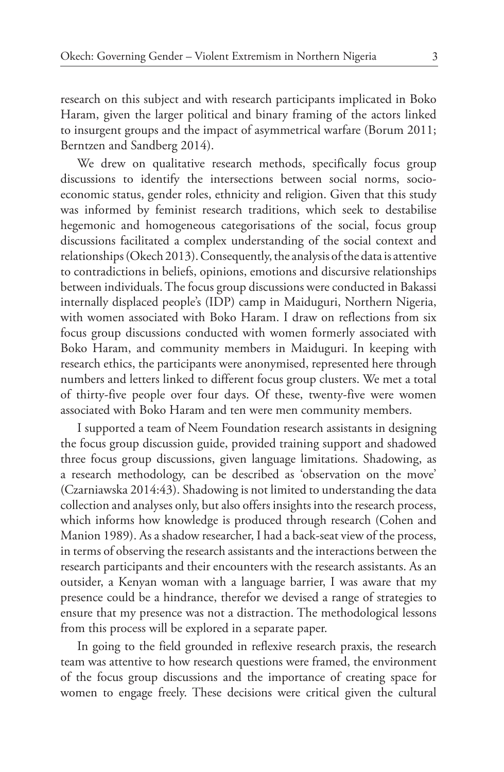research on this subject and with research participants implicated in Boko Haram, given the larger political and binary framing of the actors linked to insurgent groups and the impact of asymmetrical warfare (Borum 2011; Berntzen and Sandberg 2014).

We drew on qualitative research methods, specifically focus group discussions to identify the intersections between social norms, socioeconomic status, gender roles, ethnicity and religion. Given that this study was informed by feminist research traditions, which seek to destabilise hegemonic and homogeneous categorisations of the social, focus group discussions facilitated a complex understanding of the social context and relationships (Okech 2013). Consequently, the analysis of the data is attentive to contradictions in beliefs, opinions, emotions and discursive relationships between individuals. The focus group discussions were conducted in Bakassi internally displaced people's (IDP) camp in Maiduguri, Northern Nigeria, with women associated with Boko Haram. I draw on reflections from six focus group discussions conducted with women formerly associated with Boko Haram, and community members in Maiduguri. In keeping with research ethics, the participants were anonymised, represented here through numbers and letters linked to different focus group clusters. We met a total of thirty-five people over four days. Of these, twenty-five were women associated with Boko Haram and ten were men community members.

I supported a team of Neem Foundation research assistants in designing the focus group discussion guide, provided training support and shadowed three focus group discussions, given language limitations. Shadowing, as a research methodology, can be described as 'observation on the move' (Czarniawska 2014:43). Shadowing is not limited to understanding the data collection and analyses only, but also offers insights into the research process, which informs how knowledge is produced through research (Cohen and Manion 1989). As a shadow researcher, I had a back-seat view of the process, in terms of observing the research assistants and the interactions between the research participants and their encounters with the research assistants. As an outsider, a Kenyan woman with a language barrier, I was aware that my presence could be a hindrance, therefor we devised a range of strategies to ensure that my presence was not a distraction. The methodological lessons from this process will be explored in a separate paper.

In going to the field grounded in reflexive research praxis, the research team was attentive to how research questions were framed, the environment of the focus group discussions and the importance of creating space for women to engage freely. These decisions were critical given the cultural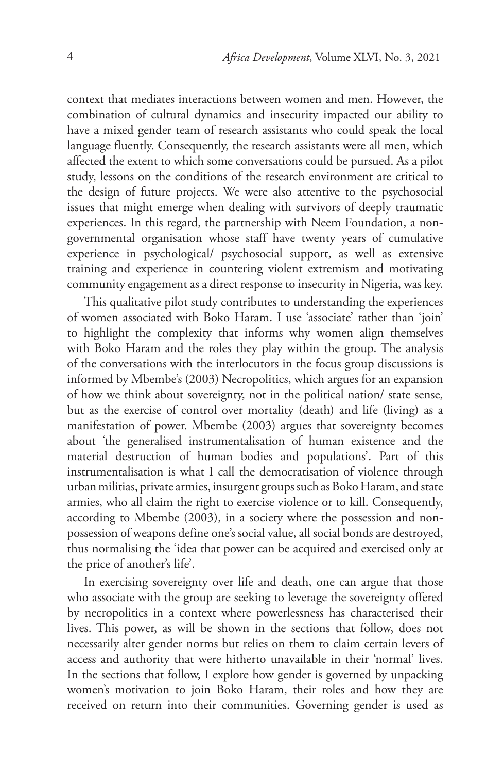context that mediates interactions between women and men. However, the combination of cultural dynamics and insecurity impacted our ability to have a mixed gender team of research assistants who could speak the local language fluently. Consequently, the research assistants were all men, which affected the extent to which some conversations could be pursued. As a pilot study, lessons on the conditions of the research environment are critical to the design of future projects. We were also attentive to the psychosocial issues that might emerge when dealing with survivors of deeply traumatic experiences. In this regard, the partnership with Neem Foundation, a nongovernmental organisation whose staff have twenty years of cumulative experience in psychological/ psychosocial support, as well as extensive training and experience in countering violent extremism and motivating community engagement as a direct response to insecurity in Nigeria, was key.

This qualitative pilot study contributes to understanding the experiences of women associated with Boko Haram. I use 'associate' rather than 'join' to highlight the complexity that informs why women align themselves with Boko Haram and the roles they play within the group. The analysis of the conversations with the interlocutors in the focus group discussions is informed by Mbembe's (2003) Necropolitics, which argues for an expansion of how we think about sovereignty, not in the political nation/ state sense, but as the exercise of control over mortality (death) and life (living) as a manifestation of power. Mbembe (2003) argues that sovereignty becomes about 'the generalised instrumentalisation of human existence and the material destruction of human bodies and populations'. Part of this instrumentalisation is what I call the democratisation of violence through urban militias, private armies, insurgent groups such as Boko Haram, and state armies, who all claim the right to exercise violence or to kill. Consequently, according to Mbembe (2003), in a society where the possession and nonpossession of weapons define one's social value, all social bonds are destroyed, thus normalising the 'idea that power can be acquired and exercised only at the price of another's life'.

In exercising sovereignty over life and death, one can argue that those who associate with the group are seeking to leverage the sovereignty offered by necropolitics in a context where powerlessness has characterised their lives. This power, as will be shown in the sections that follow, does not necessarily alter gender norms but relies on them to claim certain levers of access and authority that were hitherto unavailable in their 'normal' lives. In the sections that follow, I explore how gender is governed by unpacking women's motivation to join Boko Haram, their roles and how they are received on return into their communities. Governing gender is used as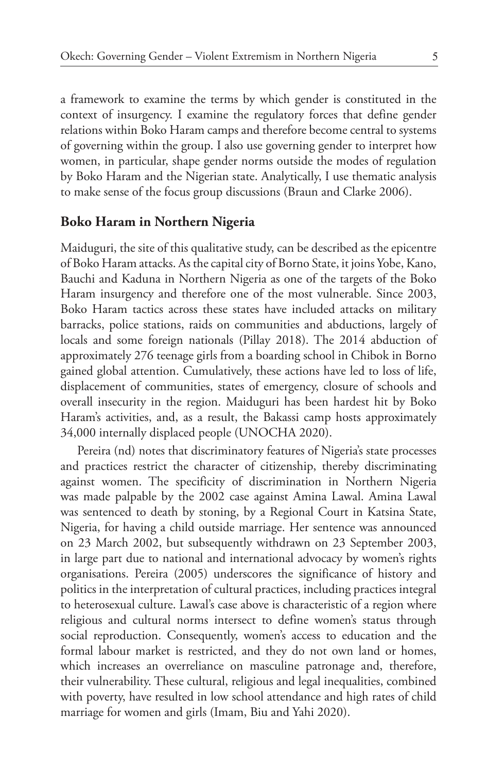a framework to examine the terms by which gender is constituted in the context of insurgency. I examine the regulatory forces that define gender relations within Boko Haram camps and therefore become central to systems of governing within the group. I also use governing gender to interpret how women, in particular, shape gender norms outside the modes of regulation by Boko Haram and the Nigerian state. Analytically, I use thematic analysis to make sense of the focus group discussions (Braun and Clarke 2006).

#### **Boko Haram in Northern Nigeria**

Maiduguri, the site of this qualitative study, can be described as the epicentre of Boko Haram attacks. As the capital city of Borno State, it joins Yobe, Kano, Bauchi and Kaduna in Northern Nigeria as one of the targets of the Boko Haram insurgency and therefore one of the most vulnerable. Since 2003, Boko Haram tactics across these states have included attacks on military barracks, police stations, raids on communities and abductions, largely of locals and some foreign nationals (Pillay 2018). The 2014 abduction of approximately 276 teenage girls from a boarding school in Chibok in Borno gained global attention. Cumulatively, these actions have led to loss of life, displacement of communities, states of emergency, closure of schools and overall insecurity in the region. Maiduguri has been hardest hit by Boko Haram's activities, and, as a result, the Bakassi camp hosts approximately 34,000 internally displaced people (UNOCHA 2020).

Pereira (nd) notes that discriminatory features of Nigeria's state processes and practices restrict the character of citizenship, thereby discriminating against women. The specificity of discrimination in Northern Nigeria was made palpable by the 2002 case against Amina Lawal. Amina Lawal was sentenced to death by stoning, by a Regional Court in Katsina State, Nigeria, for having a child outside marriage. Her sentence was announced on 23 March 2002, but subsequently withdrawn on 23 September 2003, in large part due to national and international advocacy by women's rights organisations. Pereira (2005) underscores the significance of history and politics in the interpretation of cultural practices, including practices integral to heterosexual culture. Lawal's case above is characteristic of a region where religious and cultural norms intersect to define women's status through social reproduction. Consequently, women's access to education and the formal labour market is restricted, and they do not own land or homes, which increases an overreliance on masculine patronage and, therefore, their vulnerability. These cultural, religious and legal inequalities, combined with poverty, have resulted in low school attendance and high rates of child marriage for women and girls (Imam, Biu and Yahi 2020).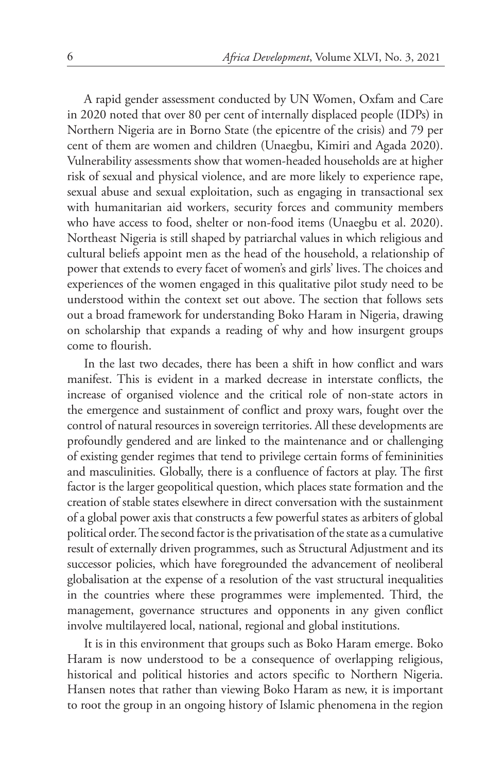A rapid gender assessment conducted by UN Women, Oxfam and Care in 2020 noted that over 80 per cent of internally displaced people (IDPs) in Northern Nigeria are in Borno State (the epicentre of the crisis) and 79 per cent of them are women and children (Unaegbu, Kimiri and Agada 2020). Vulnerability assessments show that women-headed households are at higher risk of sexual and physical violence, and are more likely to experience rape, sexual abuse and sexual exploitation, such as engaging in transactional sex with humanitarian aid workers, security forces and community members who have access to food, shelter or non-food items (Unaegbu et al. 2020). Northeast Nigeria is still shaped by patriarchal values in which religious and cultural beliefs appoint men as the head of the household, a relationship of power that extends to every facet of women's and girls' lives. The choices and experiences of the women engaged in this qualitative pilot study need to be understood within the context set out above. The section that follows sets out a broad framework for understanding Boko Haram in Nigeria, drawing on scholarship that expands a reading of why and how insurgent groups come to flourish.

In the last two decades, there has been a shift in how conflict and wars manifest. This is evident in a marked decrease in interstate conflicts, the increase of organised violence and the critical role of non-state actors in the emergence and sustainment of conflict and proxy wars, fought over the control of natural resources in sovereign territories. All these developments are profoundly gendered and are linked to the maintenance and or challenging of existing gender regimes that tend to privilege certain forms of femininities and masculinities. Globally, there is a confluence of factors at play. The first factor is the larger geopolitical question, which places state formation and the creation of stable states elsewhere in direct conversation with the sustainment of a global power axis that constructs a few powerful states as arbiters of global political order. The second factor is the privatisation of the state as a cumulative result of externally driven programmes, such as Structural Adjustment and its successor policies, which have foregrounded the advancement of neoliberal globalisation at the expense of a resolution of the vast structural inequalities in the countries where these programmes were implemented. Third, the management, governance structures and opponents in any given conflict involve multilayered local, national, regional and global institutions.

It is in this environment that groups such as Boko Haram emerge. Boko Haram is now understood to be a consequence of overlapping religious, historical and political histories and actors specific to Northern Nigeria. Hansen notes that rather than viewing Boko Haram as new, it is important to root the group in an ongoing history of Islamic phenomena in the region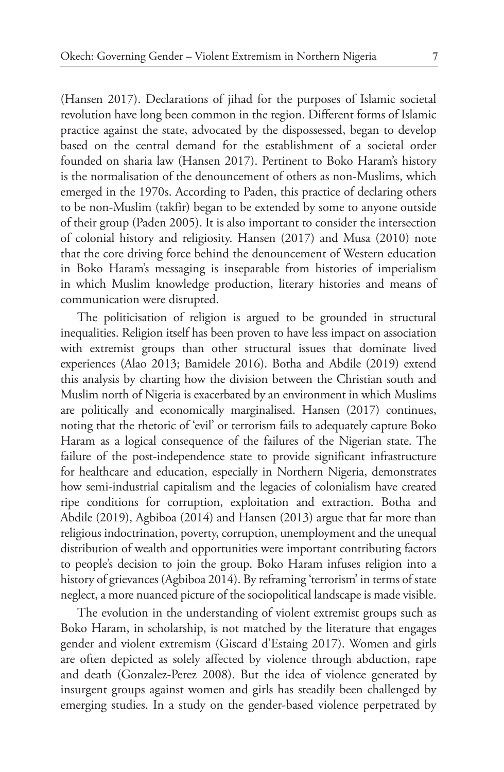(Hansen 2017). Declarations of jihad for the purposes of Islamic societal revolution have long been common in the region. Different forms of Islamic practice against the state, advocated by the dispossessed, began to develop based on the central demand for the establishment of a societal order founded on sharia law (Hansen 2017). Pertinent to Boko Haram's history is the normalisation of the denouncement of others as non-Muslims, which emerged in the 1970s. According to Paden, this practice of declaring others to be non-Muslim (takfir) began to be extended by some to anyone outside of their group (Paden 2005). It is also important to consider the intersection of colonial history and religiosity. Hansen (2017) and Musa (2010) note that the core driving force behind the denouncement of Western education in Boko Haram's messaging is inseparable from histories of imperialism in which Muslim knowledge production, literary histories and means of communication were disrupted.

The politicisation of religion is argued to be grounded in structural inequalities. Religion itself has been proven to have less impact on association with extremist groups than other structural issues that dominate lived experiences (Alao 2013; Bamidele 2016). Botha and Abdile (2019) extend this analysis by charting how the division between the Christian south and Muslim north of Nigeria is exacerbated by an environment in which Muslims are politically and economically marginalised. Hansen (2017) continues, noting that the rhetoric of 'evil' or terrorism fails to adequately capture Boko Haram as a logical consequence of the failures of the Nigerian state. The failure of the post-independence state to provide significant infrastructure for healthcare and education, especially in Northern Nigeria, demonstrates how semi-industrial capitalism and the legacies of colonialism have created ripe conditions for corruption, exploitation and extraction. Botha and Abdile (2019), Agbiboa (2014) and Hansen (2013) argue that far more than religious indoctrination, poverty, corruption, unemployment and the unequal distribution of wealth and opportunities were important contributing factors to people's decision to join the group. Boko Haram infuses religion into a history of grievances (Agbiboa 2014). By reframing 'terrorism' in terms of state neglect, a more nuanced picture of the sociopolitical landscape is made visible.

The evolution in the understanding of violent extremist groups such as Boko Haram, in scholarship, is not matched by the literature that engages gender and violent extremism (Giscard d'Estaing 2017). Women and girls are often depicted as solely affected by violence through abduction, rape and death (Gonzalez-Perez 2008). But the idea of violence generated by insurgent groups against women and girls has steadily been challenged by emerging studies. In a study on the gender-based violence perpetrated by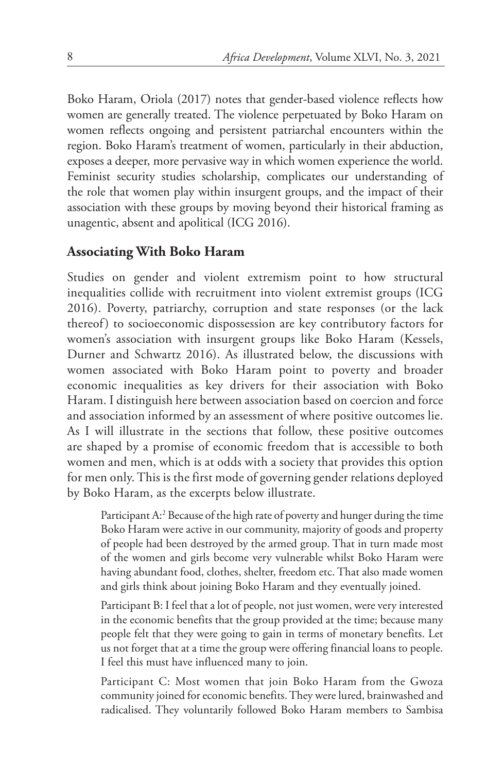Boko Haram, Oriola (2017) notes that gender-based violence reflects how women are generally treated. The violence perpetuated by Boko Haram on women reflects ongoing and persistent patriarchal encounters within the region. Boko Haram's treatment of women, particularly in their abduction, exposes a deeper, more pervasive way in which women experience the world. Feminist security studies scholarship, complicates our understanding of the role that women play within insurgent groups, and the impact of their association with these groups by moving beyond their historical framing as unagentic, absent and apolitical (ICG 2016).

# **Associating With Boko Haram**

Studies on gender and violent extremism point to how structural inequalities collide with recruitment into violent extremist groups (ICG 2016). Poverty, patriarchy, corruption and state responses (or the lack thereof) to socioeconomic dispossession are key contributory factors for women's association with insurgent groups like Boko Haram (Kessels, Durner and Schwartz 2016). As illustrated below, the discussions with women associated with Boko Haram point to poverty and broader economic inequalities as key drivers for their association with Boko Haram. I distinguish here between association based on coercion and force and association informed by an assessment of where positive outcomes lie. As I will illustrate in the sections that follow, these positive outcomes are shaped by a promise of economic freedom that is accessible to both women and men, which is at odds with a society that provides this option for men only. This is the first mode of governing gender relations deployed by Boko Haram, as the excerpts below illustrate.

Participant A:<sup>2</sup> Because of the high rate of poverty and hunger during the time Boko Haram were active in our community, majority of goods and property of people had been destroyed by the armed group. That in turn made most of the women and girls become very vulnerable whilst Boko Haram were having abundant food, clothes, shelter, freedom etc. That also made women and girls think about joining Boko Haram and they eventually joined.

Participant B: I feel that a lot of people, not just women, were very interested in the economic benefits that the group provided at the time; because many people felt that they were going to gain in terms of monetary benefits. Let us not forget that at a time the group were offering financial loans to people. I feel this must have influenced many to join.

Participant C: Most women that join Boko Haram from the Gwoza community joined for economic benefits. They were lured, brainwashed and radicalised. They voluntarily followed Boko Haram members to Sambisa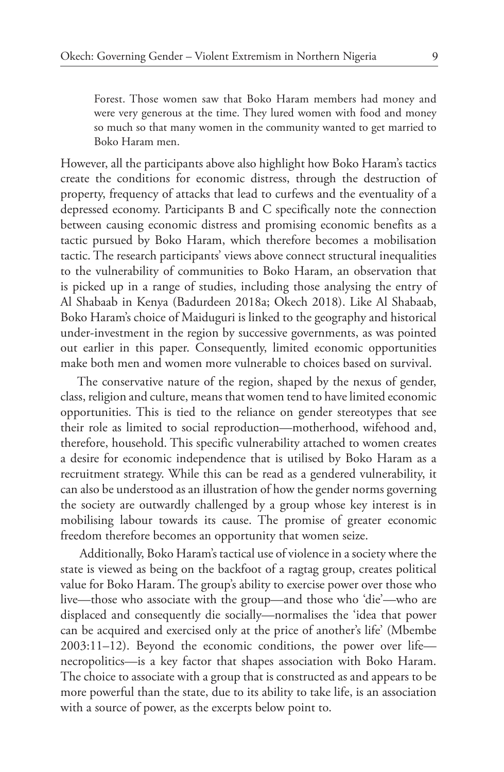Forest. Those women saw that Boko Haram members had money and were very generous at the time. They lured women with food and money so much so that many women in the community wanted to get married to Boko Haram men.

However, all the participants above also highlight how Boko Haram's tactics create the conditions for economic distress, through the destruction of property, frequency of attacks that lead to curfews and the eventuality of a depressed economy. Participants B and C specifically note the connection between causing economic distress and promising economic benefits as a tactic pursued by Boko Haram, which therefore becomes a mobilisation tactic. The research participants' views above connect structural inequalities to the vulnerability of communities to Boko Haram, an observation that is picked up in a range of studies, including those analysing the entry of Al Shabaab in Kenya (Badurdeen 2018a; Okech 2018). Like Al Shabaab, Boko Haram's choice of Maiduguri is linked to the geography and historical under-investment in the region by successive governments, as was pointed out earlier in this paper. Consequently, limited economic opportunities make both men and women more vulnerable to choices based on survival.

The conservative nature of the region, shaped by the nexus of gender, class, religion and culture, means that women tend to have limited economic opportunities. This is tied to the reliance on gender stereotypes that see their role as limited to social reproduction—motherhood, wifehood and, therefore, household. This specific vulnerability attached to women creates a desire for economic independence that is utilised by Boko Haram as a recruitment strategy. While this can be read as a gendered vulnerability, it can also be understood as an illustration of how the gender norms governing the society are outwardly challenged by a group whose key interest is in mobilising labour towards its cause. The promise of greater economic freedom therefore becomes an opportunity that women seize.

 Additionally, Boko Haram's tactical use of violence in a society where the state is viewed as being on the backfoot of a ragtag group, creates political value for Boko Haram. The group's ability to exercise power over those who live—those who associate with the group—and those who 'die'—who are displaced and consequently die socially—normalises the 'idea that power can be acquired and exercised only at the price of another's life' (Mbembe 2003:11–12). Beyond the economic conditions, the power over life necropolitics—is a key factor that shapes association with Boko Haram. The choice to associate with a group that is constructed as and appears to be more powerful than the state, due to its ability to take life, is an association with a source of power, as the excerpts below point to.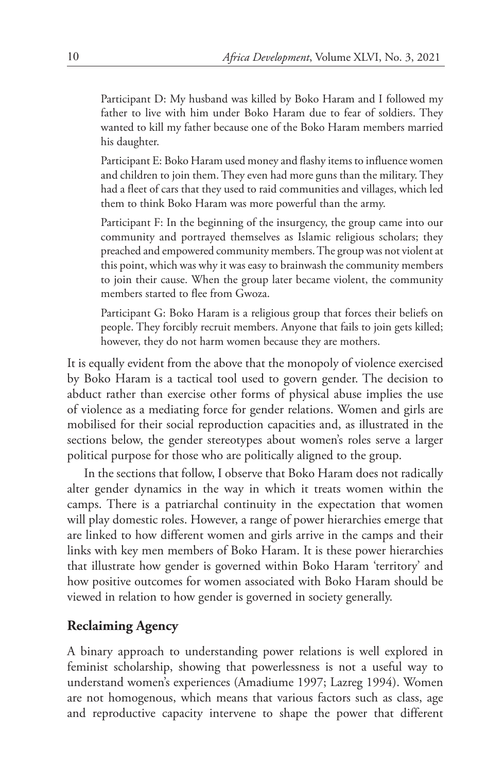Participant D: My husband was killed by Boko Haram and I followed my father to live with him under Boko Haram due to fear of soldiers. They wanted to kill my father because one of the Boko Haram members married his daughter.

Participant E: Boko Haram used money and flashy items to influence women and children to join them. They even had more guns than the military. They had a fleet of cars that they used to raid communities and villages, which led them to think Boko Haram was more powerful than the army.

Participant F: In the beginning of the insurgency, the group came into our community and portrayed themselves as Islamic religious scholars; they preached and empowered community members. The group was not violent at this point, which was why it was easy to brainwash the community members to join their cause. When the group later became violent, the community members started to flee from Gwoza.

Participant G: Boko Haram is a religious group that forces their beliefs on people. They forcibly recruit members. Anyone that fails to join gets killed; however, they do not harm women because they are mothers.

It is equally evident from the above that the monopoly of violence exercised by Boko Haram is a tactical tool used to govern gender. The decision to abduct rather than exercise other forms of physical abuse implies the use of violence as a mediating force for gender relations. Women and girls are mobilised for their social reproduction capacities and, as illustrated in the sections below, the gender stereotypes about women's roles serve a larger political purpose for those who are politically aligned to the group.

In the sections that follow, I observe that Boko Haram does not radically alter gender dynamics in the way in which it treats women within the camps. There is a patriarchal continuity in the expectation that women will play domestic roles. However, a range of power hierarchies emerge that are linked to how different women and girls arrive in the camps and their links with key men members of Boko Haram. It is these power hierarchies that illustrate how gender is governed within Boko Haram 'territory' and how positive outcomes for women associated with Boko Haram should be viewed in relation to how gender is governed in society generally.

### **Reclaiming Agency**

A binary approach to understanding power relations is well explored in feminist scholarship, showing that powerlessness is not a useful way to understand women's experiences (Amadiume 1997; Lazreg 1994). Women are not homogenous, which means that various factors such as class, age and reproductive capacity intervene to shape the power that different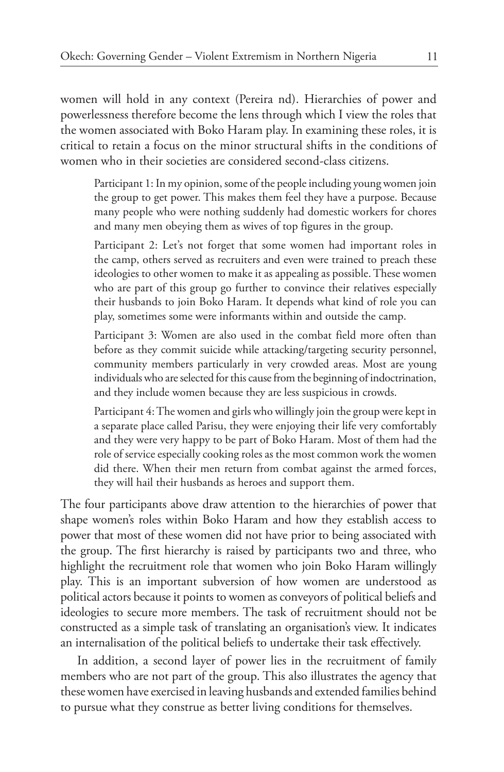women will hold in any context (Pereira nd). Hierarchies of power and powerlessness therefore become the lens through which I view the roles that the women associated with Boko Haram play. In examining these roles, it is critical to retain a focus on the minor structural shifts in the conditions of women who in their societies are considered second-class citizens.

Participant 1: In my opinion, some of the people including young women join the group to get power. This makes them feel they have a purpose. Because many people who were nothing suddenly had domestic workers for chores and many men obeying them as wives of top figures in the group.

Participant 2: Let's not forget that some women had important roles in the camp, others served as recruiters and even were trained to preach these ideologies to other women to make it as appealing as possible. These women who are part of this group go further to convince their relatives especially their husbands to join Boko Haram. It depends what kind of role you can play, sometimes some were informants within and outside the camp.

Participant 3: Women are also used in the combat field more often than before as they commit suicide while attacking/targeting security personnel, community members particularly in very crowded areas. Most are young individuals who are selected for this cause from the beginning of indoctrination, and they include women because they are less suspicious in crowds.

Participant 4: The women and girls who willingly join the group were kept in a separate place called Parisu, they were enjoying their life very comfortably and they were very happy to be part of Boko Haram. Most of them had the role of service especially cooking roles as the most common work the women did there. When their men return from combat against the armed forces, they will hail their husbands as heroes and support them.

The four participants above draw attention to the hierarchies of power that shape women's roles within Boko Haram and how they establish access to power that most of these women did not have prior to being associated with the group. The first hierarchy is raised by participants two and three, who highlight the recruitment role that women who join Boko Haram willingly play. This is an important subversion of how women are understood as political actors because it points to women as conveyors of political beliefs and ideologies to secure more members. The task of recruitment should not be constructed as a simple task of translating an organisation's view. It indicates an internalisation of the political beliefs to undertake their task effectively.

In addition, a second layer of power lies in the recruitment of family members who are not part of the group. This also illustrates the agency that these women have exercised in leaving husbands and extended families behind to pursue what they construe as better living conditions for themselves.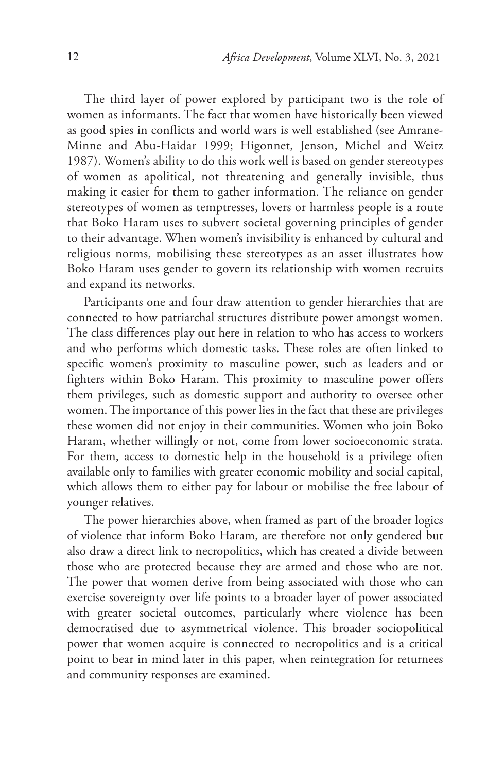The third layer of power explored by participant two is the role of women as informants. The fact that women have historically been viewed as good spies in conflicts and world wars is well established (see Amrane-Minne and Abu-Haidar 1999; Higonnet, Jenson, Michel and Weitz 1987). Women's ability to do this work well is based on gender stereotypes of women as apolitical, not threatening and generally invisible, thus making it easier for them to gather information. The reliance on gender stereotypes of women as temptresses, lovers or harmless people is a route that Boko Haram uses to subvert societal governing principles of gender to their advantage. When women's invisibility is enhanced by cultural and religious norms, mobilising these stereotypes as an asset illustrates how Boko Haram uses gender to govern its relationship with women recruits and expand its networks.

Participants one and four draw attention to gender hierarchies that are connected to how patriarchal structures distribute power amongst women. The class differences play out here in relation to who has access to workers and who performs which domestic tasks. These roles are often linked to specific women's proximity to masculine power, such as leaders and or fighters within Boko Haram. This proximity to masculine power offers them privileges, such as domestic support and authority to oversee other women. The importance of this power lies in the fact that these are privileges these women did not enjoy in their communities. Women who join Boko Haram, whether willingly or not, come from lower socioeconomic strata. For them, access to domestic help in the household is a privilege often available only to families with greater economic mobility and social capital, which allows them to either pay for labour or mobilise the free labour of younger relatives.

The power hierarchies above, when framed as part of the broader logics of violence that inform Boko Haram, are therefore not only gendered but also draw a direct link to necropolitics, which has created a divide between those who are protected because they are armed and those who are not. The power that women derive from being associated with those who can exercise sovereignty over life points to a broader layer of power associated with greater societal outcomes, particularly where violence has been democratised due to asymmetrical violence. This broader sociopolitical power that women acquire is connected to necropolitics and is a critical point to bear in mind later in this paper, when reintegration for returnees and community responses are examined.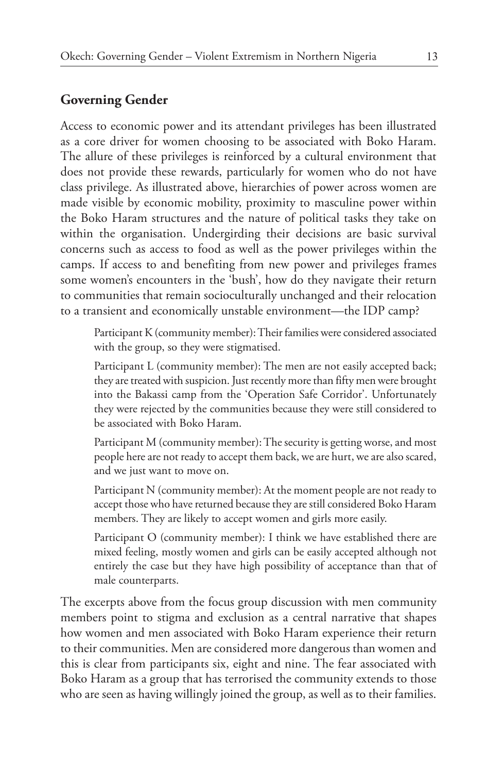## **Governing Gender**

Access to economic power and its attendant privileges has been illustrated as a core driver for women choosing to be associated with Boko Haram. The allure of these privileges is reinforced by a cultural environment that does not provide these rewards, particularly for women who do not have class privilege. As illustrated above, hierarchies of power across women are made visible by economic mobility, proximity to masculine power within the Boko Haram structures and the nature of political tasks they take on within the organisation. Undergirding their decisions are basic survival concerns such as access to food as well as the power privileges within the camps. If access to and benefiting from new power and privileges frames some women's encounters in the 'bush', how do they navigate their return to communities that remain socioculturally unchanged and their relocation to a transient and economically unstable environment—the IDP camp?

Participant K (community member): Their families were considered associated with the group, so they were stigmatised.

Participant L (community member): The men are not easily accepted back; they are treated with suspicion. Just recently more than fifty men were brought into the Bakassi camp from the 'Operation Safe Corridor'. Unfortunately they were rejected by the communities because they were still considered to be associated with Boko Haram.

Participant M (community member): The security is getting worse, and most people here are not ready to accept them back, we are hurt, we are also scared, and we just want to move on.

Participant N (community member): At the moment people are not ready to accept those who have returned because they are still considered Boko Haram members. They are likely to accept women and girls more easily.

Participant O (community member): I think we have established there are mixed feeling, mostly women and girls can be easily accepted although not entirely the case but they have high possibility of acceptance than that of male counterparts.

The excerpts above from the focus group discussion with men community members point to stigma and exclusion as a central narrative that shapes how women and men associated with Boko Haram experience their return to their communities. Men are considered more dangerous than women and this is clear from participants six, eight and nine. The fear associated with Boko Haram as a group that has terrorised the community extends to those who are seen as having willingly joined the group, as well as to their families.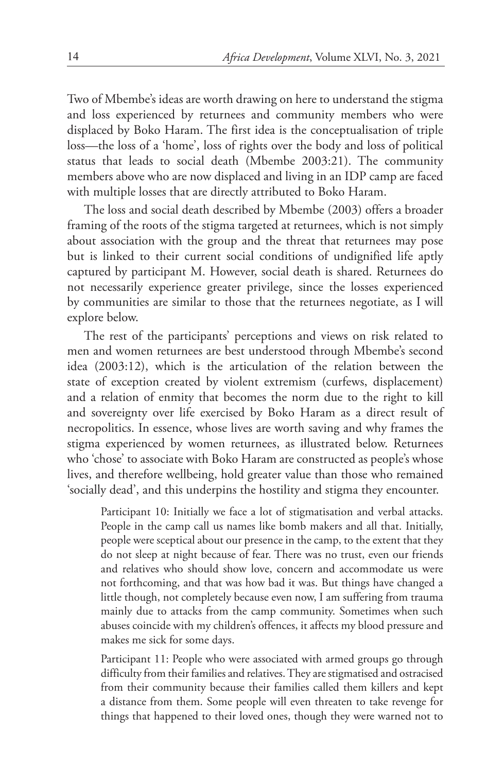Two of Mbembe's ideas are worth drawing on here to understand the stigma and loss experienced by returnees and community members who were displaced by Boko Haram. The first idea is the conceptualisation of triple loss—the loss of a 'home', loss of rights over the body and loss of political status that leads to social death (Mbembe 2003:21). The community members above who are now displaced and living in an IDP camp are faced with multiple losses that are directly attributed to Boko Haram.

The loss and social death described by Mbembe (2003) offers a broader framing of the roots of the stigma targeted at returnees, which is not simply about association with the group and the threat that returnees may pose but is linked to their current social conditions of undignified life aptly captured by participant M. However, social death is shared. Returnees do not necessarily experience greater privilege, since the losses experienced by communities are similar to those that the returnees negotiate, as I will explore below.

The rest of the participants' perceptions and views on risk related to men and women returnees are best understood through Mbembe's second idea (2003:12), which is the articulation of the relation between the state of exception created by violent extremism (curfews, displacement) and a relation of enmity that becomes the norm due to the right to kill and sovereignty over life exercised by Boko Haram as a direct result of necropolitics. In essence, whose lives are worth saving and why frames the stigma experienced by women returnees, as illustrated below. Returnees who 'chose' to associate with Boko Haram are constructed as people's whose lives, and therefore wellbeing, hold greater value than those who remained 'socially dead', and this underpins the hostility and stigma they encounter.

Participant 10: Initially we face a lot of stigmatisation and verbal attacks. People in the camp call us names like bomb makers and all that. Initially, people were sceptical about our presence in the camp, to the extent that they do not sleep at night because of fear. There was no trust, even our friends and relatives who should show love, concern and accommodate us were not forthcoming, and that was how bad it was. But things have changed a little though, not completely because even now, I am suffering from trauma mainly due to attacks from the camp community. Sometimes when such abuses coincide with my children's offences, it affects my blood pressure and makes me sick for some days.

Participant 11: People who were associated with armed groups go through difficulty from their families and relatives. They are stigmatised and ostracised from their community because their families called them killers and kept a distance from them. Some people will even threaten to take revenge for things that happened to their loved ones, though they were warned not to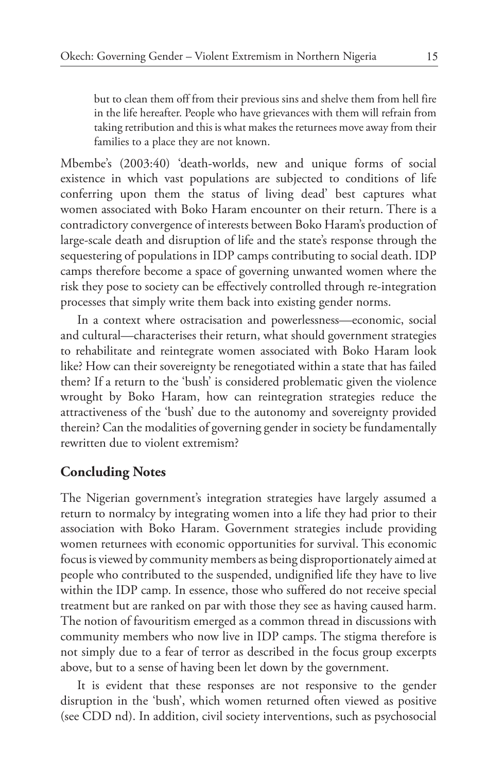but to clean them off from their previous sins and shelve them from hell fire in the life hereafter. People who have grievances with them will refrain from taking retribution and this is what makes the returnees move away from their families to a place they are not known.

Mbembe's (2003:40) 'death-worlds, new and unique forms of social existence in which vast populations are subjected to conditions of life conferring upon them the status of living dead' best captures what women associated with Boko Haram encounter on their return. There is a contradictory convergence of interests between Boko Haram's production of large-scale death and disruption of life and the state's response through the sequestering of populations in IDP camps contributing to social death. IDP camps therefore become a space of governing unwanted women where the risk they pose to society can be effectively controlled through re-integration processes that simply write them back into existing gender norms.

In a context where ostracisation and powerlessness—economic, social and cultural—characterises their return, what should government strategies to rehabilitate and reintegrate women associated with Boko Haram look like? How can their sovereignty be renegotiated within a state that has failed them? If a return to the 'bush' is considered problematic given the violence wrought by Boko Haram, how can reintegration strategies reduce the attractiveness of the 'bush' due to the autonomy and sovereignty provided therein? Can the modalities of governing gender in society be fundamentally rewritten due to violent extremism?

### **Concluding Notes**

The Nigerian government's integration strategies have largely assumed a return to normalcy by integrating women into a life they had prior to their association with Boko Haram. Government strategies include providing women returnees with economic opportunities for survival. This economic focus is viewed by community members as being disproportionately aimed at people who contributed to the suspended, undignified life they have to live within the IDP camp. In essence, those who suffered do not receive special treatment but are ranked on par with those they see as having caused harm. The notion of favouritism emerged as a common thread in discussions with community members who now live in IDP camps. The stigma therefore is not simply due to a fear of terror as described in the focus group excerpts above, but to a sense of having been let down by the government.

It is evident that these responses are not responsive to the gender disruption in the 'bush', which women returned often viewed as positive (see CDD nd). In addition, civil society interventions, such as psychosocial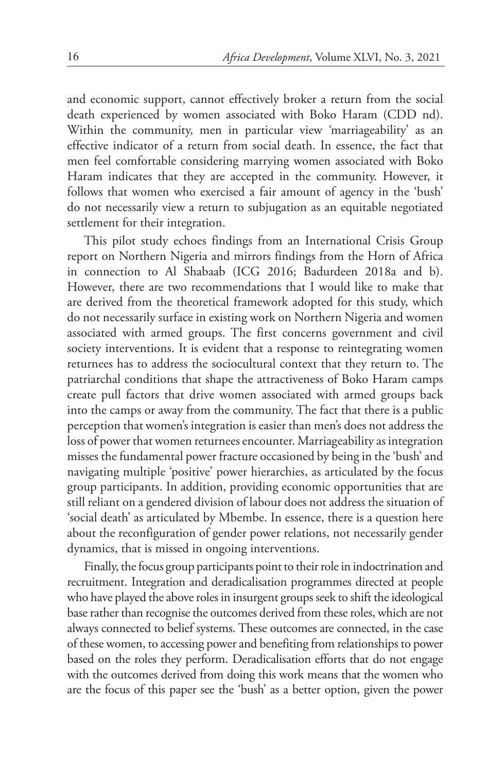and economic support, cannot effectively broker a return from the social death experienced by women associated with Boko Haram (CDD nd). Within the community, men in particular view 'marriageability' as an effective indicator of a return from social death. In essence, the fact that men feel comfortable considering marrying women associated with Boko Haram indicates that they are accepted in the community. However, it follows that women who exercised a fair amount of agency in the 'bush' do not necessarily view a return to subjugation as an equitable negotiated settlement for their integration.

This pilot study echoes findings from an International Crisis Group report on Northern Nigeria and mirrors findings from the Horn of Africa in connection to Al Shabaab (ICG 2016; Badurdeen 2018a and b). However, there are two recommendations that I would like to make that are derived from the theoretical framework adopted for this study, which do not necessarily surface in existing work on Northern Nigeria and women associated with armed groups. The first concerns government and civil society interventions. It is evident that a response to reintegrating women returnees has to address the sociocultural context that they return to. The patriarchal conditions that shape the attractiveness of Boko Haram camps create pull factors that drive women associated with armed groups back into the camps or away from the community. The fact that there is a public perception that women's integration is easier than men's does not address the loss of power that women returnees encounter. Marriageability as integration misses the fundamental power fracture occasioned by being in the 'bush' and navigating multiple 'positive' power hierarchies, as articulated by the focus group participants. In addition, providing economic opportunities that are still reliant on a gendered division of labour does not address the situation of 'social death' as articulated by Mbembe. In essence, there is a question here about the reconfiguration of gender power relations, not necessarily gender dynamics, that is missed in ongoing interventions.

Finally, the focus group participants point to their role in indoctrination and recruitment. Integration and deradicalisation programmes directed at people who have played the above roles in insurgent groups seek to shift the ideological base rather than recognise the outcomes derived from these roles, which are not always connected to belief systems. These outcomes are connected, in the case of these women, to accessing power and benefiting from relationships to power based on the roles they perform. Deradicalisation efforts that do not engage with the outcomes derived from doing this work means that the women who are the focus of this paper see the 'bush' as a better option, given the power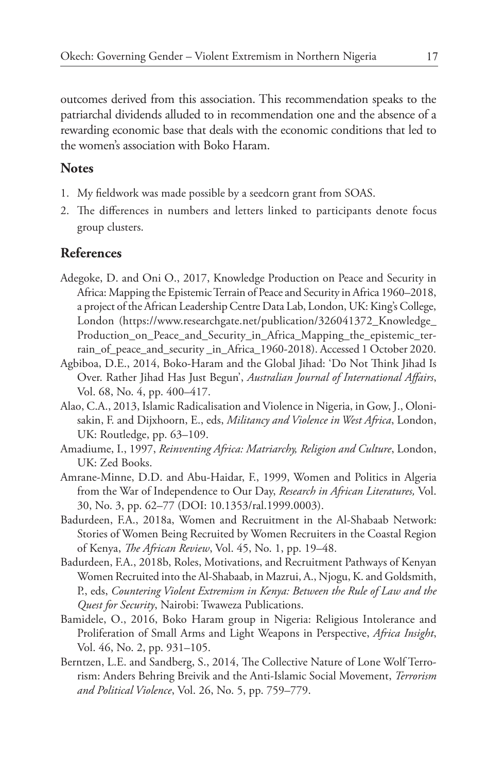outcomes derived from this association. This recommendation speaks to the patriarchal dividends alluded to in recommendation one and the absence of a rewarding economic base that deals with the economic conditions that led to the women's association with Boko Haram.

#### **Notes**

- 1. My fieldwork was made possible by a seedcorn grant from SOAS.
- 2. The differences in numbers and letters linked to participants denote focus group clusters.

#### **References**

- Adegoke, D. and Oni O., 2017, Knowledge Production on Peace and Security in Africa: Mapping the Epistemic Terrain of Peace and Security in Africa 1960–2018, a project of the African Leadership Centre Data Lab, London, UK: King's College, London (https://www.researchgate.net/publication/326041372\_Knowledge\_ Production\_on\_Peace\_and\_Security\_in\_Africa\_Mapping\_the\_epistemic\_terrain\_of\_peace\_and\_security \_in\_Africa\_1960-2018). Accessed 1 October 2020.
- Agbiboa, D.E., 2014, Boko-Haram and the Global Jihad: 'Do Not Think Jihad Is Over. Rather Jihad Has Just Begun', *Australian Journal of International Affairs*, Vol. 68, No. 4, pp. 400–417.
- Alao, C.A., 2013, Islamic Radicalisation and Violence in Nigeria, in Gow, J., Olonisakin, F. and Dijxhoorn, E., eds, *Militancy and Violence in West Africa*, London, UK: Routledge, pp. 63–109.
- Amadiume, I., 1997, *Reinventing Africa: Matriarchy, Religion and Culture*, London, UK: Zed Books.
- Amrane-Minne, D.D. and Abu-Haidar, F., 1999, Women and Politics in Algeria from the War of Independence to Our Day, *Research in African Literatures,* Vol. 30, No. 3, pp. 62–77 (DOI: 10.1353/ral.1999.0003).
- Badurdeen, F.A., 2018a, Women and Recruitment in the Al-Shabaab Network: Stories of Women Being Recruited by Women Recruiters in the Coastal Region of Kenya, *The African Review*, Vol. 45, No. 1, pp. 19–48.
- Badurdeen, F.A., 2018b, Roles, Motivations, and Recruitment Pathways of Kenyan Women Recruited into the Al-Shabaab, in Mazrui, A., Njogu, K. and Goldsmith, P., eds, *Countering Violent Extremism in Kenya: Between the Rule of Law and the Quest for Security*, Nairobi: Twaweza Publications.
- Bamidele, O., 2016, Boko Haram group in Nigeria: Religious Intolerance and Proliferation of Small Arms and Light Weapons in Perspective, *Africa Insight*, Vol. 46, No. 2, pp. 931–105.
- Berntzen, L.E. and Sandberg, S., 2014, The Collective Nature of Lone Wolf Terrorism: Anders Behring Breivik and the Anti-Islamic Social Movement, *Terrorism and Political Violence*, Vol. 26, No. 5, pp. 759–779.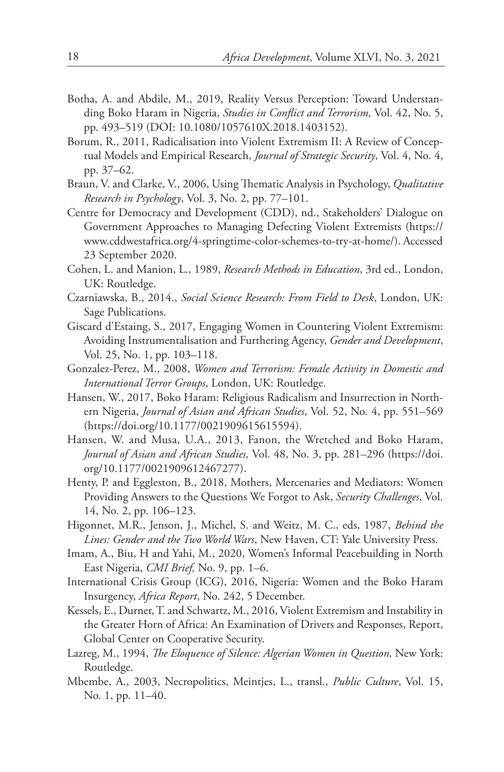- Botha, A. and Abdile, M., 2019, Reality Versus Perception: Toward Understanding Boko Haram in Nigeria, *Studies in Conflict and Terrorism,* Vol. 42, No. 5, pp. 493–519 (DOI: 10.1080/1057610X.2018.1403152).
- Borum, R., 2011, Radicalisation into Violent Extremism II: A Review of Conceptual Models and Empirical Research, *Journal of Strategic Security*, Vol. 4, No. 4, pp. 37–62.
- Braun, V. and Clarke, V., 2006, Using Thematic Analysis in Psychology, *Qualitative Research in Psychology*, Vol. 3, No. 2, pp. 77–101.
- Centre for Democracy and Development (CDD), nd., Stakeholders' Dialogue on Government Approaches to Managing Defecting Violent Extremists (https:// www.cddwestafrica.org/4-springtime-color-schemes-to-try-at-home/). Accessed 23 September 2020.
- Cohen, L. and Manion, L., 1989, *Research Methods in Education*, 3rd ed., London, UK: Routledge.
- Czarniawska, B., 2014., *Social Science Research: From Field to Desk*, London, UK: Sage Publications.
- Giscard d'Estaing, S., 2017, Engaging Women in Countering Violent Extremism: Avoiding Instrumentalisation and Furthering Agency, *Gender and Development*, Vol. 25, No. 1, pp. 103–118.
- Gonzalez-Perez, M., 2008, *Women and Terrorism: Female Activity in Domestic and International Terror Groups*, London, UK: Routledge.
- Hansen, W., 2017, Boko Haram: Religious Radicalism and Insurrection in Northern Nigeria, *Journal of Asian and African Studies*, Vol. 52, No. 4, pp. 551–569 (https://doi.org/10.1177/0021909615615594).
- Hansen, W. and Musa, U.A., 2013, Fanon, the Wretched and Boko Haram, *Journal of Asian and African Studies,* Vol. 48, No. 3, pp. 281–296 (https://doi. org/10.1177/0021909612467277).
- Henty, P. and Eggleston, B., 2018, Mothers, Mercenaries and Mediators: Women Providing Answers to the Questions We Forgot to Ask, *Security Challenges*, Vol. 14, No. 2, pp. 106–123.
- Higonnet, M.R., Jenson, J., Michel, S. and Weitz, M. C., eds, 1987, *Behind the Lines: Gender and the Two World Wars*, New Haven, CT: Yale University Press.
- Imam, A., Biu, H and Yahi, M., 2020, Women's Informal Peacebuilding in North East Nigeria, *CMI Brief,* No. 9, pp. 1–6.
- International Crisis Group (ICG), 2016, Nigeria: Women and the Boko Haram Insurgency, *Africa Report*, No. 242, 5 December.
- Kessels, E., Durner, T. and Schwartz, M., 2016, Violent Extremism and Instability in the Greater Horn of Africa: An Examination of Drivers and Responses, Report, Global Center on Cooperative Security.
- Lazreg, M., 1994, *The Eloquence of Silence: Algerian Women in Question,* New York: Routledge.
- Mbembe, A., 2003, Necropolitics, Meintjes, L., transl., *Public Culture*, Vol. 15, No. 1, pp. 11–40.